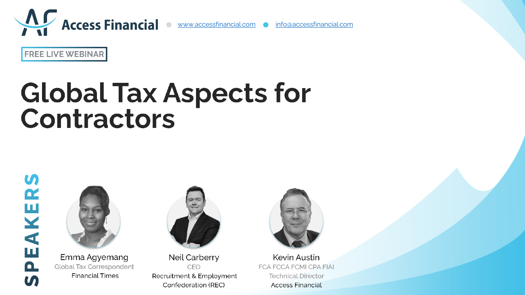

**FREE LIVE WEBINAR** 

# **Global Tax Aspects for** Contractors

**U)** PEAKER  $\boldsymbol{\mathsf{S}}$ 



Emma Agyemang Global Tax Correspondent **Financial Times** 



Neil Carberry CEO Recruitment & Employment Confederation (REC)



Kevin Austin FCA FCCA FCMI CPA FIAI **Technical Director Access Financial**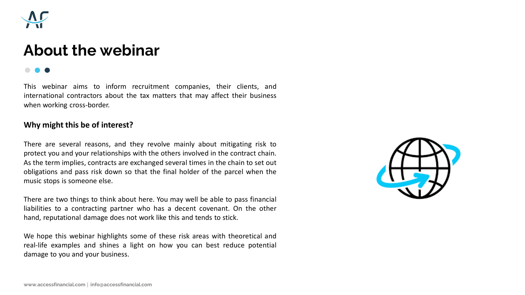

## **About the webinar**

This webinar aims to inform recruitment companies, their clients, and international contractors about the tax matters that may affect their business when working cross-border.

## **Why might this be of interest?**

There are several reasons, and they revolve mainly about mitigating risk to protect you and your relationships with the others involved in the contract chain. As the term implies, contracts are exchanged several times in the chain to set out obligations and pass risk down so that the final holder of the parcel when the music stops is someone else.

There are two things to think about here. You may well be able to pass financial liabilities to a contracting partner who has a decent covenant. On the other hand, reputational damage does not work like this and tends to stick.

We hope this webinar highlights some of these risk areas with theoretical and real-life examples and shines a light on how you can best reduce potential damage to you and your business.

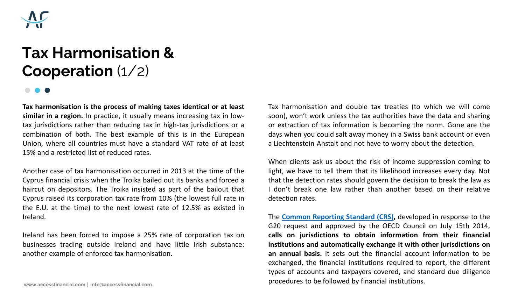

# **Tax Harmonisation & Cooperation** (1/2)

**Tax harmonisation is the process of making taxes identical or at least similar in a region.** In practice, it usually means increasing tax in lowtax jurisdictions rather than reducing tax in high-tax jurisdictions or a combination of both. The best example of this is in the European Union, where all countries must have a standard VAT rate of at least 15% and a restricted list of reduced rates.

Another case of tax harmonisation occurred in 2013 at the time of the Cyprus financial crisis when the Troika bailed out its banks and forced a haircut on depositors. The Troika insisted as part of the bailout that Cyprus raised its corporation tax rate from 10% (the lowest full rate in the E.U. at the time) to the next lowest rate of 12.5% as existed in Ireland.

Ireland has been forced to impose a 25% rate of corporation tax on businesses trading outside Ireland and have little Irish substance: another example of enforced tax harmonisation.

Tax harmonisation and double tax treaties (to which we will come soon), won't work unless the tax authorities have the data and sharing or extraction of tax information is becoming the norm. Gone are the days when you could salt away money in a Swiss bank account or even a Liechtenstein Anstalt and not have to worry about the detection.

When clients ask us about the risk of income suppression coming to light, we have to tell them that its likelihood increases every day. Not that the detection rates should govern the decision to break the law as I don't break one law rather than another based on their relative detection rates.

The **Common [Reporting](https://www.oecd.org/tax/automatic-exchange/common-reporting-standard/standard-for-automatic-exchange-of-financial-account-information-in-tax-matters-second-edition-9789264267992-en.htm) Standard (CRS),** developed in response to the G20 request and approved by the OECD Council on July 15th 2014, **calls on jurisdictions to obtain information from their financial institutions and automatically exchange it with other jurisdictions on an annual basis.** It sets out the financial account information to be exchanged, the financial institutions required to report, the different types of accounts and taxpayers covered, and standard due diligence procedures to be followed by financial institutions. **www.accessfinancial.com info@accessfinancial.com**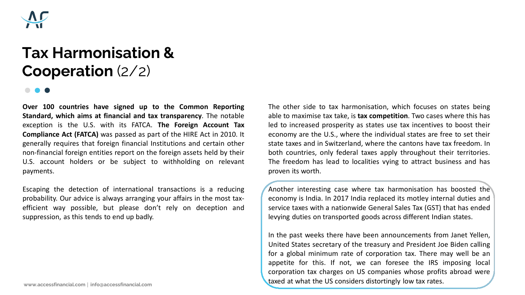

# **Tax Harmonisation & Cooperation** (2/2)

**Over 100 countries have signed up to the Common Reporting Standard, which aims at financial and tax transparency**. The notable exception is the U.S. with its FATCA. **The Foreign Account Tax Compliance Act (FATCA)** was passed as part of the HIRE Act in 2010. It generally requires that foreign financial Institutions and certain other non-financial foreign entities report on the foreign assets held by their U.S. account holders or be subject to withholding on relevant payments.

Escaping the detection of international transactions is a reducing probability. Our advice is always arranging your affairs in the most taxefficient way possible, but please don't rely on deception and suppression, as this tends to end up badly.

The other side to tax harmonisation, which focuses on states being able to maximise tax take, is **tax competition**. Two cases where this has led to increased prosperity as states use tax incentives to boost their economy are the U.S., where the individual states are free to set their state taxes and in Switzerland, where the cantons have tax freedom. In both countries, only federal taxes apply throughout their territories. The freedom has lead to localities vying to attract business and has proven its worth.

Another interesting case where tax harmonisation has boosted the economy is India. In 2017 India replaced its motley internal duties and service taxes with a nationwide General Sales Tax (GST) that has ended levying duties on transported goods across different Indian states.

In the past weeks there have been announcements from Janet Yellen, United States secretary of the treasury and President Joe Biden calling for a global minimum rate of corporation tax. There may well be an appetite for this. If not, we can foresee the IRS imposing local corporation tax charges on US companies whose profits abroad were taxed at what the US considers distortingly low tax rates. **www.accessfinancial.com info@accessfinancial.com**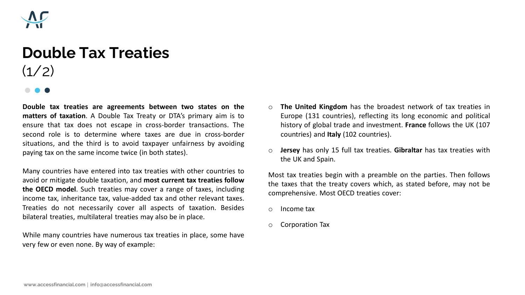

# **Double Tax Treaties**  $(1/2)$

**Double tax treaties are agreements between two states on the matters of taxation**. A Double Tax Treaty or DTA's primary aim is to ensure that tax does not escape in cross-border transactions. The second role is to determine where taxes are due in cross-border situations, and the third is to avoid taxpayer unfairness by avoiding paying tax on the same income twice (in both states).

Many countries have entered into tax treaties with other countries to avoid or mitigate double taxation, and **most current tax treaties follow the OECD model**. Such treaties may cover a range of taxes, including income tax, inheritance tax, value-added tax and other relevant taxes. Treaties do not necessarily cover all aspects of taxation. Besides bilateral treaties, multilateral treaties may also be in place.

While many countries have numerous tax treaties in place, some have very few or even none. By way of example:

- o **The United Kingdom** has the broadest network of tax treaties in Europe (131 countries), reflecting its long economic and political history of global trade and investment. **France** follows the UK (107 countries) and **Italy** (102 countries).
- o **Jersey** has only 15 full tax treaties. **Gibraltar** has tax treaties with the UK and Spain.

Most tax treaties begin with a preamble on the parties. Then follows the taxes that the treaty covers which, as stated before, may not be comprehensive. Most OECD treaties cover:

- o Income tax
- o Corporation Tax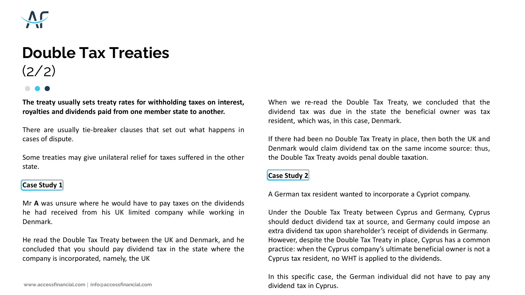

# **Double Tax Treaties**  $(2/2)$

**The treaty usually sets treaty rates for withholding taxes on interest, royalties and dividends paid from one member state to another.**

There are usually tie-breaker clauses that set out what happens in cases of dispute.

Some treaties may give unilateral relief for taxes suffered in the other state.

## **Case Study 1**

Mr **A** was unsure where he would have to pay taxes on the dividends he had received from his UK limited company while working in Denmark.

He read the Double Tax Treaty between the UK and Denmark, and he concluded that you should pay dividend tax in the state where the company is incorporated, namely, the UK

www.accessfinancial.com | info@accessfinancial.com **info@accessfinancial.com** 

When we re-read the Double Tax Treaty, we concluded that the dividend tax was due in the state the beneficial owner was tax resident, which was, in this case, Denmark.

If there had been no Double Tax Treaty in place, then both the UK and Denmark would claim dividend tax on the same income source: thus, the Double Tax Treaty avoids penal double taxation.

## **Case Study 2**

A German tax resident wanted to incorporate a Cypriot company.

Under the Double Tax Treaty between Cyprus and Germany, Cyprus should deduct dividend tax at source, and Germany could impose an extra dividend tax upon shareholder's receipt of dividends in Germany. However, despite the Double Tax Treaty in place, Cyprus has a common practice: when the Cyprus company's ultimate beneficial owner is not a Cyprus tax resident, no WHT is applied to the dividends.

In this specific case, the German individual did not have to pay any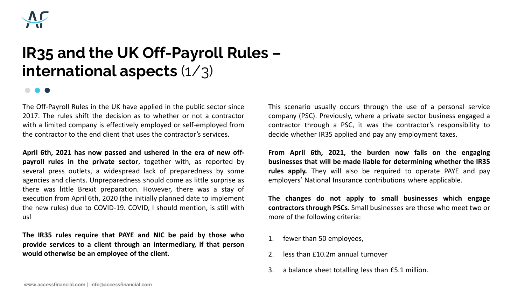

# **IR35 and the UK Off-Payroll Rules – international aspects** (1/3)

The Off-Payroll Rules in the UK have applied in the public sector since 2017. The rules shift the decision as to whether or not a contractor with a limited company is effectively employed or self-employed from the contractor to the end client that uses the contractor's services.

**April 6th, 2021 has now passed and ushered in the era of new offpayroll rules in the private sector**, together with, as reported by several press outlets, a widespread lack of preparedness by some agencies and clients. Unpreparedness should come as little surprise as there was little Brexit preparation. However, there was a stay of execution from April 6th, 2020 (the initially planned date to implement the new rules) due to COVID-19. COVID, I should mention, is still with us!

**The IR35 rules require that PAYE and NIC be paid by those who provide services to a client through an intermediary, if that person would otherwise be an employee of the client**.

This scenario usually occurs through the use of a personal service company (PSC). Previously, where a private sector business engaged a contractor through a PSC, it was the contractor's responsibility to decide whether IR35 applied and pay any employment taxes.

**From April 6th, 2021, the burden now falls on the engaging businesses that will be made liable for determining whether the IR35 rules apply.** They will also be required to operate PAYE and pay employers' National Insurance contributions where applicable.

**The changes do not apply to small businesses which engage contractors through PSCs**. Small businesses are those who meet two or more of the following criteria:

- 1. fewer than 50 employees,
- 2. less than £10.2m annual turnover
- 3. a balance sheet totalling less than £5.1 million.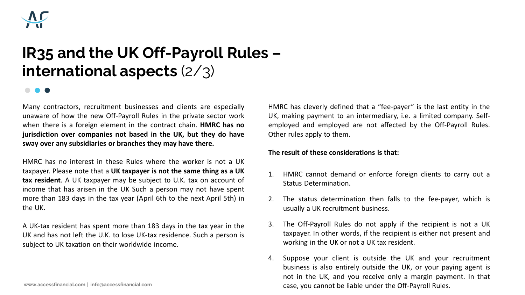

# **IR35 and the UK Off-Payroll Rules – international aspects** (2/3)

Many contractors, recruitment businesses and clients are especially unaware of how the new Off-Payroll Rules in the private sector work when there is a foreign element in the contract chain. **HMRC has no jurisdiction over companies not based in the UK, but they do have sway over any subsidiaries or branches they may have there.**

HMRC has no interest in these Rules where the worker is not a UK taxpayer. Please note that a **UK taxpayer is not the same thing as a UK tax resident**. A UK taxpayer may be subject to U.K. tax on account of income that has arisen in the UK Such a person may not have spent more than 183 days in the tax year (April 6th to the next April 5th) in the UK.

A UK-tax resident has spent more than 183 days in the tax year in the UK and has not left the U.K. to lose UK-tax residence. Such a person is subject to UK taxation on their worldwide income.

HMRC has cleverly defined that a "fee-payer" is the last entity in the UK, making payment to an intermediary, i.e. a limited company. Selfemployed and employed are not affected by the Off-Payroll Rules. Other rules apply to them.

### **The result of these considerations is that:**

- 1. HMRC cannot demand or enforce foreign clients to carry out a Status Determination.
- 2. The status determination then falls to the fee-payer, which is usually a UK recruitment business.
- 3. The Off-Payroll Rules do not apply if the recipient is not a UK taxpayer. In other words, if the recipient is either not present and working in the UK or not a UK tax resident.
- 4. Suppose your client is outside the UK and your recruitment business is also entirely outside the UK, or your paying agent is not in the UK, and you receive only a margin payment. In that www.accessfinancial.com | info@accessfinancial.com **info@accessfinancial.com** case, you cannot be liable under the Off-Payroll Rules.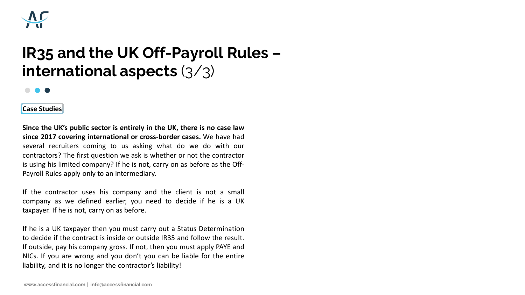

# **IR35 and the UK Off-Payroll Rules – international aspects** (3/3)

## $\bullet$

**Case Studies**

**Since the UK's public sector is entirely in the UK, there is no case law since 2017 covering international or cross-border cases.** We have had several recruiters coming to us asking what do we do with our contractors? The first question we ask is whether or not the contractor is using his limited company? If he is not, carry on as before as the Off-Payroll Rules apply only to an intermediary.

If the contractor uses his company and the client is not a small company as we defined earlier, you need to decide if he is a UK taxpayer. If he is not, carry on as before.

If he is a UK taxpayer then you must carry out a Status Determination to decide if the contract is inside or outside IR35 and follow the result. If outside, pay his company gross. If not, then you must apply PAYE and NICs. If you are wrong and you don't you can be liable for the entire liability, and it is no longer the contractor's liability!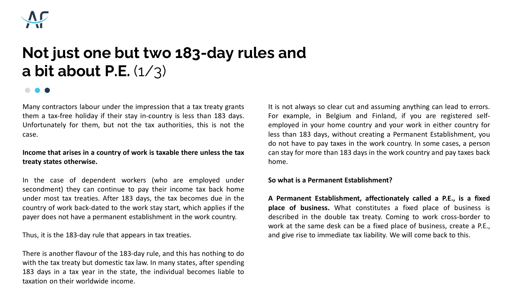

# **Not just one but two 183-day rules and a bit about P.E.** (1/3)

Many contractors labour under the impression that a tax treaty grants them a tax-free holiday if their stay in-country is less than 183 days. Unfortunately for them, but not the tax authorities, this is not the case.

## **Income that arises in a country of work is taxable there unless the tax treaty states otherwise.**

In the case of dependent workers (who are employed under secondment) they can continue to pay their income tax back home under most tax treaties. After 183 days, the tax becomes due in the country of work back-dated to the work stay start, which applies if the payer does not have a permanent establishment in the work country.

Thus, it is the 183-day rule that appears in tax treaties.

There is another flavour of the 183-day rule, and this has nothing to do with the tax treaty but domestic tax law. In many states, after spending 183 days in a tax year in the state, the individual becomes liable to taxation on their worldwide income.

It is not always so clear cut and assuming anything can lead to errors. For example, in Belgium and Finland, if you are registered selfemployed in your home country and your work in either country for less than 183 days, without creating a Permanent Establishment, you do not have to pay taxes in the work country. In some cases, a person can stay for more than 183 days in the work country and pay taxes back home.

### **So what is a Permanent Establishment?**

**A Permanent Establishment, affectionately called a P.E., is a fixed place of business.** What constitutes a fixed place of business is described in the double tax treaty. Coming to work cross-border to work at the same desk can be a fixed place of business, create a P.E., and give rise to immediate tax liability. We will come back to this.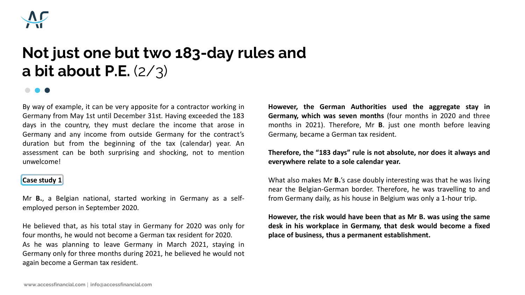

# **Not just one but two 183-day rules and a bit about P.E.** (2/3)

By way of example, it can be very apposite for a contractor working in Germany from May 1st until December 31st. Having exceeded the 183 days in the country, they must declare the income that arose in Germany and any income from outside Germany for the contract's duration but from the beginning of the tax (calendar) year. An assessment can be both surprising and shocking, not to mention unwelcome!

## **Case study 1**

Mr **B.**, a Belgian national, started working in Germany as a selfemployed person in September 2020.

He believed that, as his total stay in Germany for 2020 was only for four months, he would not become a German tax resident for 2020. As he was planning to leave Germany in March 2021, staying in Germany only for three months during 2021, he believed he would not again become a German tax resident.

**However, the German Authorities used the aggregate stay in Germany, which was seven months** (four months in 2020 and three months in 2021). Therefore, Mr **B**. just one month before leaving Germany, became a German tax resident.

## **Therefore, the "183 days" rule is not absolute, nor does it always and everywhere relate to a sole calendar year.**

What also makes Mr **B.**'s case doubly interesting was that he was living near the Belgian-German border. Therefore, he was travelling to and from Germany daily, as his house in Belgium was only a 1-hour trip.

**However, the risk would have been that as Mr B. was using the same desk in his workplace in Germany, that desk would become a fixed place of business, thus a permanent establishment.**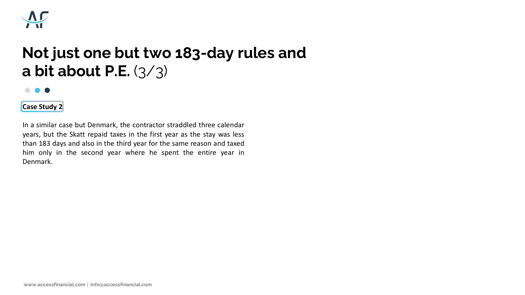

# **Not just one but two 183-day rules and a bit about P.E.** (3/3)

#### $\bigodot$ . .

## **Case Study 2**

In a similar case but Denmark, the contractor straddled three calendar years, but the Skatt repaid taxes in the first year as the stay was less than 183 days and also in the third year for the same reason and taxed him only in the second year where he spent the entire year in Denmark.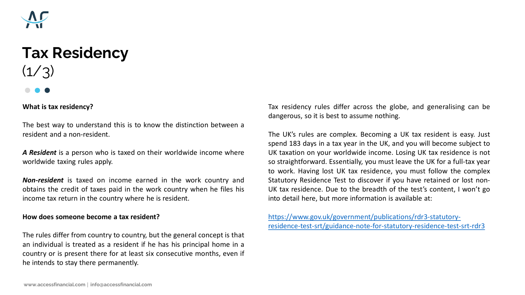

# **Tax Residency**   $(1/3)$

### **What is tax residency?**

The best way to understand this is to know the distinction between a resident and a non-resident.

*A Resident* is a person who is taxed on their worldwide income where worldwide taxing rules apply.

*Non-resident* is taxed on income earned in the work country and obtains the credit of taxes paid in the work country when he files his income tax return in the country where he is resident.

#### **How does someone become a tax resident?**

The rules differ from country to country, but the general concept is that an individual is treated as a resident if he has his principal home in a country or is present there for at least six consecutive months, even if he intends to stay there permanently.

Tax residency rules differ across the globe, and generalising can be dangerous, so it is best to assume nothing.

The UK's rules are complex. Becoming a UK tax resident is easy. Just spend 183 days in a tax year in the UK, and you will become subject to UK taxation on your worldwide income. Losing UK tax residence is not so straightforward. Essentially, you must leave the UK for a full-tax year to work. Having lost UK tax residence, you must follow the complex Statutory Residence Test to discover if you have retained or lost non-UK tax residence. Due to the breadth of the test's content, I won't go into detail here, but more information is available at:

https://www.gov.uk/government/publications/rdr3-statutory[residence-test-srt/guidance-note-for-statutory-residence-test-srt-rdr3](https://www.gov.uk/government/publications/rdr3-statutory-residence-test-srt/guidance-note-for-statutory-residence-test-srt-rdr3)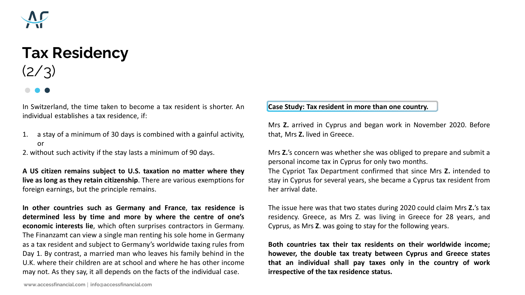

# **Tax Residency**   $(2/3)$

In Switzerland, the time taken to become a tax resident is shorter. An individual establishes a tax residence, if:

1. a stay of a minimum of 30 days is combined with a gainful activity, or

2. without such activity if the stay lasts a minimum of 90 days.

**A US citizen remains subject to U.S. taxation no matter where they live as long as they retain citizenship**. There are various exemptions for foreign earnings, but the principle remains.

**In other countries such as Germany and France**, **tax residence is determined less by time and more by where the centre of one's economic interests lie**, which often surprises contractors in Germany. The Finanzamt can view a single man renting his sole home in Germany as a tax resident and subject to Germany's worldwide taxing rules from Day 1. By contrast, a married man who leaves his family behind in the U.K. where their children are at school and where he has other income may not. As they say, it all depends on the facts of the individual case.

**Case Study: Tax resident in more than one country.**

Mrs **Z.** arrived in Cyprus and began work in November 2020. Before that, Mrs **Z.** lived in Greece.

Mrs **Z.**'s concern was whether she was obliged to prepare and submit a personal income tax in Cyprus for only two months.

The Cypriot Tax Department confirmed that since Mrs **Z.** intended to stay in Cyprus for several years, she became a Cyprus tax resident from her arrival date.

The issue here was that two states during 2020 could claim Mrs **Z.**'s tax residency. Greece, as Mrs Z. was living in Greece for 28 years, and Cyprus, as Mrs **Z**. was going to stay for the following years.

**Both countries tax their tax residents on their worldwide income; however, the double tax treaty between Cyprus and Greece states that an individual shall pay taxes only in the country of work irrespective of the tax residence status.**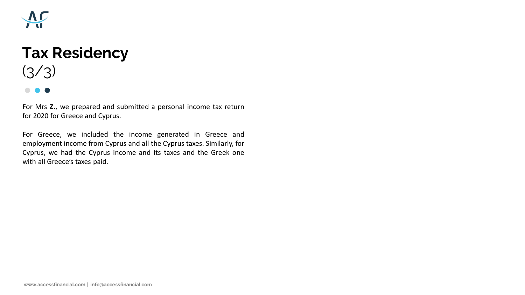

# **Tax Residency**   $(3/3)$

For Mrs **Z.**, we prepared and submitted a personal income tax return for 2020 for Greece and Cyprus.

For Greece, we included the income generated in Greece and employment income from Cyprus and all the Cyprus taxes. Similarly, for Cyprus, we had the Cyprus income and its taxes and the Greek one with all Greece's taxes paid.

**www.accessfinancial.com info@accessfinancial.com**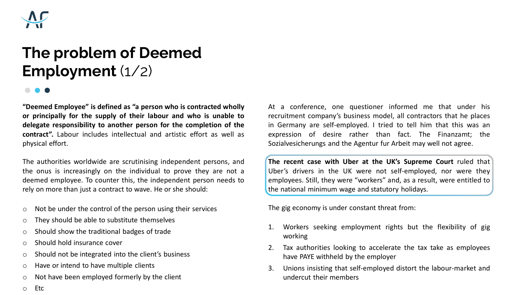

# **The problem of Deemed Employment** (1/2)

**"Deemed Employee" is defined as "a person who is contracted wholly or principally for the supply of their labour and who is unable to delegate responsibility to another person for the completion of the contract".** Labour includes intellectual and artistic effort as well as physical effort.

The authorities worldwide are scrutinising independent persons, and the onus is increasingly on the individual to prove they are not a deemed employee. To counter this, the independent person needs to rely on more than just a contract to wave. He or she should:

- o Not be under the control of the person using their services
- o They should be able to substitute themselves
- o Should show the traditional badges of trade
- o Should hold insurance cover
- o Should not be integrated into the client's business
- o Have or intend to have multiple clients
- o Not have been employed formerly by the client

At a conference, one questioner informed me that under his recruitment company's business model, all contractors that he places in Germany are self-employed. I tried to tell him that this was an expression of desire rather than fact. The Finanzamt; the Sozialvesicherungs and the Agentur fur Arbeit may well not agree.

**The recent case with Uber at the UK's Supreme Court** ruled that Uber's drivers in the UK were not self-employed, nor were they employees. Still, they were "workers" and, as a result, were entitled to the national minimum wage and statutory holidays.

The gig economy is under constant threat from:

- 1. Workers seeking employment rights but the flexibility of gig working
- 2. Tax authorities looking to accelerate the tax take as employees have PAYE withheld by the employer
- 3. Unions insisting that self-employed distort the labour-market and undercut their members

o Etc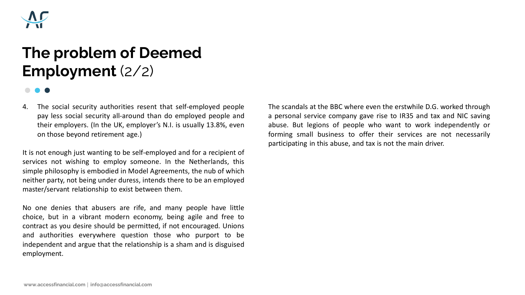

# **The problem of Deemed Employment** (2/2)

4. The social security authorities resent that self-employed people pay less social security all-around than do employed people and their employers. (In the UK, employer's N.I. is usually 13.8%, even on those beyond retirement age.)

It is not enough just wanting to be self-employed and for a recipient of services not wishing to employ someone. In the Netherlands, this simple philosophy is embodied in Model Agreements, the nub of which neither party, not being under duress, intends there to be an employed master/servant relationship to exist between them.

No one denies that abusers are rife, and many people have little choice, but in a vibrant modern economy, being agile and free to contract as you desire should be permitted, if not encouraged. Unions and authorities everywhere question those who purport to be independent and argue that the relationship is a sham and is disguised employment.

The scandals at the BBC where even the erstwhile D.G. worked through a personal service company gave rise to IR35 and tax and NIC saving abuse. But legions of people who want to work independently or forming small business to offer their services are not necessarily participating in this abuse, and tax is not the main driver.